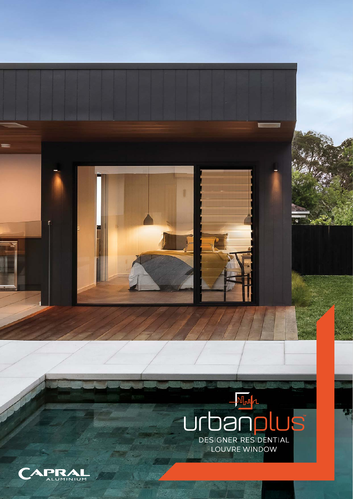